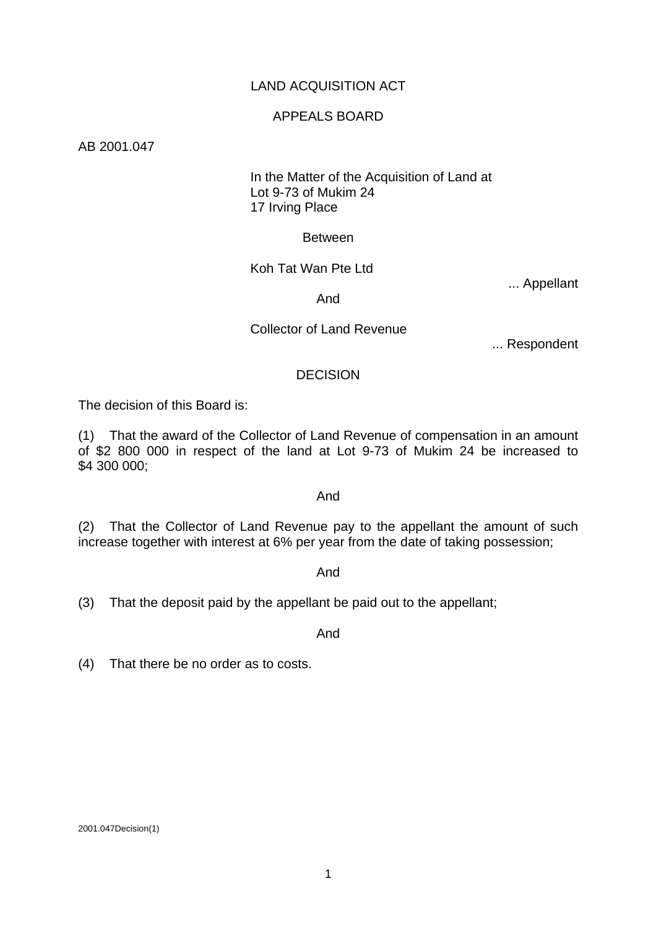# LAND ACQUISITION ACT

## APPEALS BOARD

### AB 2001.047

# In the Matter of the Acquisition of Land at Lot 9-73 of Mukim 24 17 Irving Place

### Between

Koh Tat Wan Pte Ltd

... Appellant

And

## Collector of Land Revenue

... Respondent

## **DECISION**

The decision of this Board is:

(1) That the award of the Collector of Land Revenue of compensation in an amount of \$2 800 000 in respect of the land at Lot 9-73 of Mukim 24 be increased to \$4 300 000;

### And

(2) That the Collector of Land Revenue pay to the appellant the amount of such increase together with interest at 6% per year from the date of taking possession;

### And

(3) That the deposit paid by the appellant be paid out to the appellant;

And

(4) That there be no order as to costs.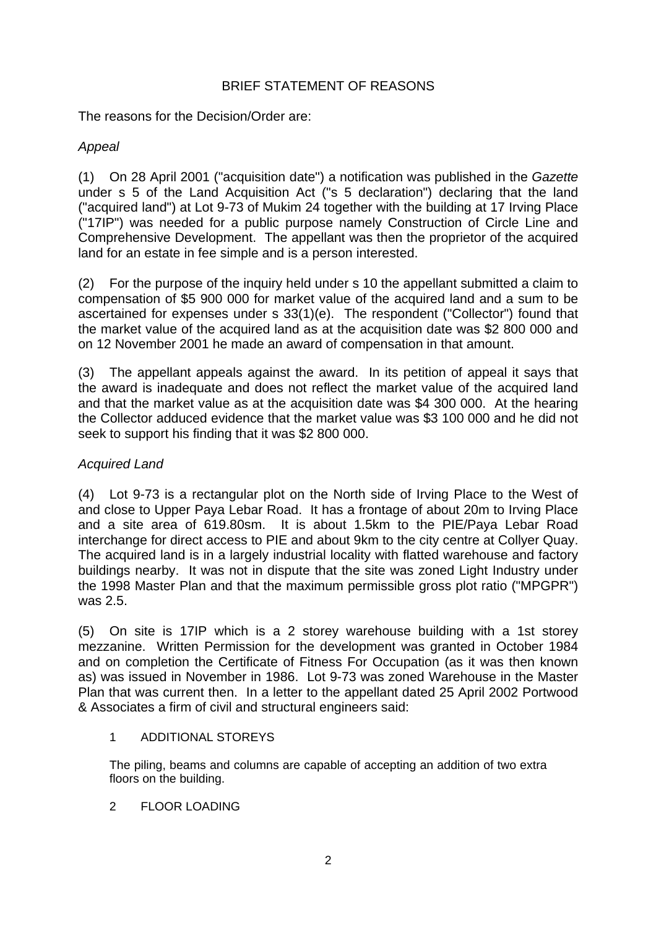# BRIEF STATEMENT OF REASONS

The reasons for the Decision/Order are:

# *Appeal*

(1) On 28 April 2001 ("acquisition date") a notification was published in the *Gazette* under s 5 of the Land Acquisition Act ("s 5 declaration") declaring that the land ("acquired land") at Lot 9-73 of Mukim 24 together with the building at 17 Irving Place ("17IP") was needed for a public purpose namely Construction of Circle Line and Comprehensive Development. The appellant was then the proprietor of the acquired land for an estate in fee simple and is a person interested.

(2) For the purpose of the inquiry held under s 10 the appellant submitted a claim to compensation of \$5 900 000 for market value of the acquired land and a sum to be ascertained for expenses under s 33(1)(e). The respondent ("Collector") found that the market value of the acquired land as at the acquisition date was \$2 800 000 and on 12 November 2001 he made an award of compensation in that amount.

(3) The appellant appeals against the award. In its petition of appeal it says that the award is inadequate and does not reflect the market value of the acquired land and that the market value as at the acquisition date was \$4 300 000. At the hearing the Collector adduced evidence that the market value was \$3 100 000 and he did not seek to support his finding that it was \$2 800 000.

# *Acquired Land*

(4) Lot 9-73 is a rectangular plot on the North side of Irving Place to the West of and close to Upper Paya Lebar Road. It has a frontage of about 20m to Irving Place and a site area of 619.80sm. It is about 1.5km to the PIE/Paya Lebar Road interchange for direct access to PIE and about 9km to the city centre at Collyer Quay. The acquired land is in a largely industrial locality with flatted warehouse and factory buildings nearby. It was not in dispute that the site was zoned Light Industry under the 1998 Master Plan and that the maximum permissible gross plot ratio ("MPGPR") was 2.5.

(5) On site is 17IP which is a 2 storey warehouse building with a 1st storey mezzanine. Written Permission for the development was granted in October 1984 and on completion the Certificate of Fitness For Occupation (as it was then known as) was issued in November in 1986. Lot 9-73 was zoned Warehouse in the Master Plan that was current then. In a letter to the appellant dated 25 April 2002 Portwood & Associates a firm of civil and structural engineers said:

# 1 ADDITIONAL STOREYS

The piling, beams and columns are capable of accepting an addition of two extra floors on the building.

2 FLOOR LOADING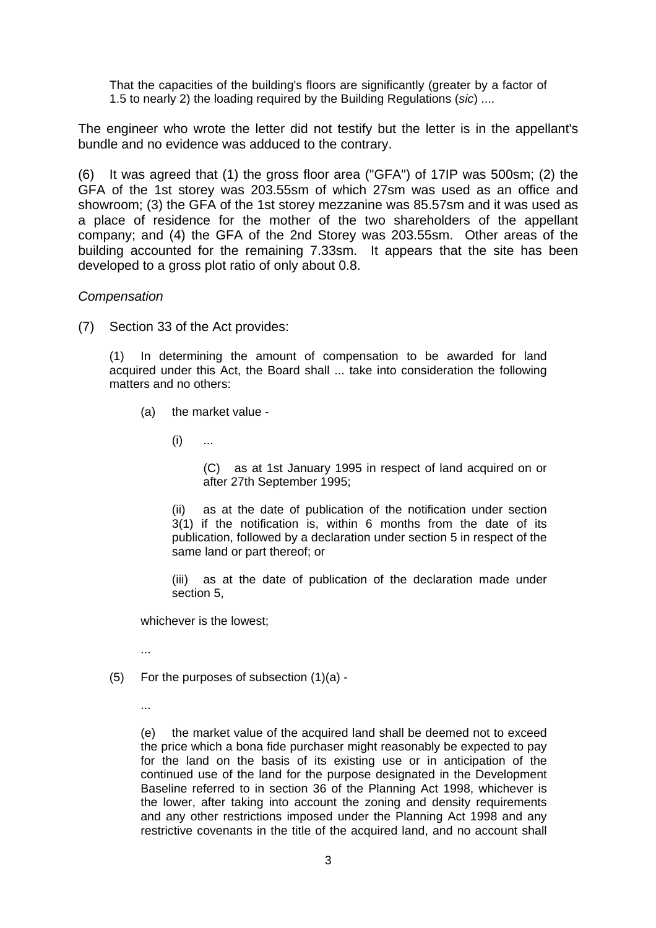That the capacities of the building's floors are significantly (greater by a factor of 1.5 to nearly 2) the loading required by the Building Regulations (*sic*) ....

The engineer who wrote the letter did not testify but the letter is in the appellant's bundle and no evidence was adduced to the contrary.

(6) It was agreed that (1) the gross floor area ("GFA") of 17IP was 500sm; (2) the GFA of the 1st storey was 203.55sm of which 27sm was used as an office and showroom; (3) the GFA of the 1st storey mezzanine was 85.57sm and it was used as a place of residence for the mother of the two shareholders of the appellant company; and (4) the GFA of the 2nd Storey was 203.55sm. Other areas of the building accounted for the remaining 7.33sm. It appears that the site has been developed to a gross plot ratio of only about 0.8.

## *Compensation*

(7) Section 33 of the Act provides:

(1) In determining the amount of compensation to be awarded for land acquired under this Act, the Board shall ... take into consideration the following matters and no others:

(a) the market value -

 $(i)$  ...

(C) as at 1st January 1995 in respect of land acquired on or after 27th September 1995;

(ii) as at the date of publication of the notification under section 3(1) if the notification is, within 6 months from the date of its publication, followed by a declaration under section 5 in respect of the same land or part thereof; or

(iii) as at the date of publication of the declaration made under section 5,

whichever is the lowest;

...

- (5) For the purposes of subsection (1)(a)
	- ...

(e) the market value of the acquired land shall be deemed not to exceed the price which a bona fide purchaser might reasonably be expected to pay for the land on the basis of its existing use or in anticipation of the continued use of the land for the purpose designated in the Development Baseline referred to in section 36 of the Planning Act 1998, whichever is the lower, after taking into account the zoning and density requirements and any other restrictions imposed under the Planning Act 1998 and any restrictive covenants in the title of the acquired land, and no account shall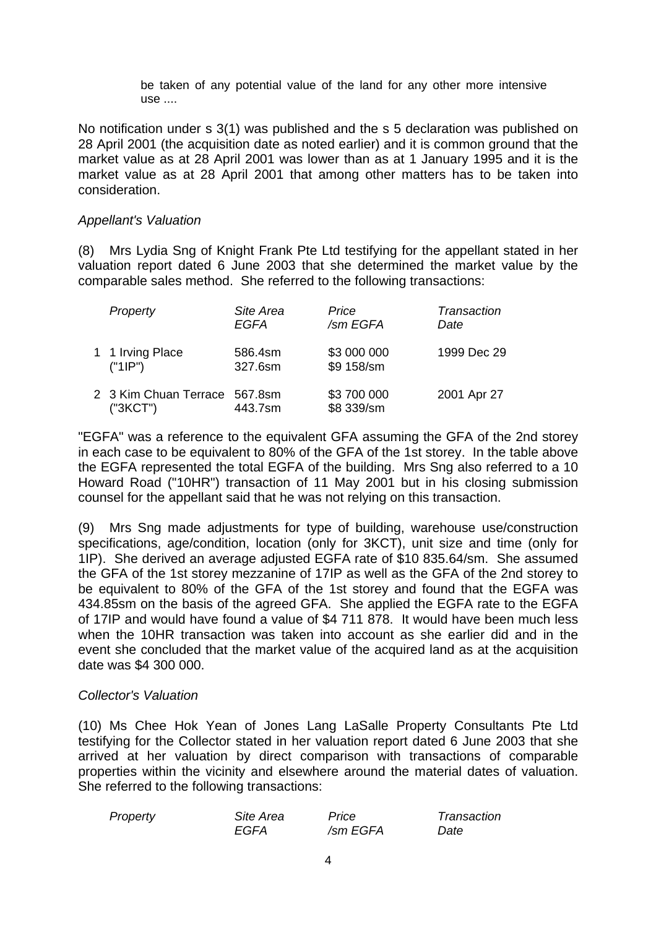be taken of any potential value of the land for any other more intensive use ....

No notification under s 3(1) was published and the s 5 declaration was published on 28 April 2001 (the acquisition date as noted earlier) and it is common ground that the market value as at 28 April 2001 was lower than as at 1 January 1995 and it is the market value as at 28 April 2001 that among other matters has to be taken into consideration.

### *Appellant's Valuation*

(8) Mrs Lydia Sng of Knight Frank Pte Ltd testifying for the appellant stated in her valuation report dated 6 June 2003 that she determined the market value by the comparable sales method. She referred to the following transactions:

| Property                                  | Site Area<br>EGFA  | Price<br>/sm EGFA         | Transaction<br>Date |
|-------------------------------------------|--------------------|---------------------------|---------------------|
| 1 1 Irving Place<br>("1IP")               | 586.4sm<br>327.6sm | \$3 000 000<br>\$9 158/sm | 1999 Dec 29         |
| 2 3 Kim Chuan Terrace 567.8sm<br>("3KCT") | 443.7sm            | \$3 700 000<br>\$8 339/sm | 2001 Apr 27         |

"EGFA" was a reference to the equivalent GFA assuming the GFA of the 2nd storey in each case to be equivalent to 80% of the GFA of the 1st storey. In the table above the EGFA represented the total EGFA of the building. Mrs Sng also referred to a 10 Howard Road ("10HR") transaction of 11 May 2001 but in his closing submission counsel for the appellant said that he was not relying on this transaction.

(9) Mrs Sng made adjustments for type of building, warehouse use/construction specifications, age/condition, location (only for 3KCT), unit size and time (only for 1IP). She derived an average adjusted EGFA rate of \$10 835.64/sm. She assumed the GFA of the 1st storey mezzanine of 17IP as well as the GFA of the 2nd storey to be equivalent to 80% of the GFA of the 1st storey and found that the EGFA was 434.85sm on the basis of the agreed GFA. She applied the EGFA rate to the EGFA of 17IP and would have found a value of \$4 711 878. It would have been much less when the 10HR transaction was taken into account as she earlier did and in the event she concluded that the market value of the acquired land as at the acquisition date was \$4 300 000.

### *Collector's Valuation*

(10) Ms Chee Hok Yean of Jones Lang LaSalle Property Consultants Pte Ltd testifying for the Collector stated in her valuation report dated 6 June 2003 that she arrived at her valuation by direct comparison with transactions of comparable properties within the vicinity and elsewhere around the material dates of valuation. She referred to the following transactions:

| Property | Site Area | Price    | Transaction |
|----------|-----------|----------|-------------|
|          | EGFA      | /sm EGFA | Date        |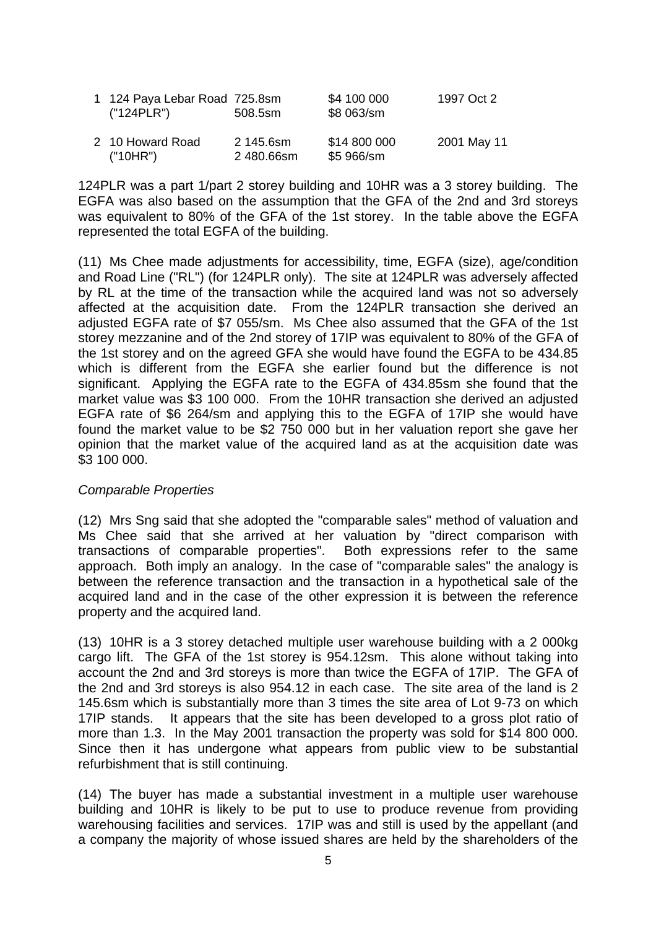| 1 124 Paya Lebar Road 725.8sm<br>("124PLR") | 508.5sm                 | \$4 100 000<br>\$8 063/sm  | 1997 Oct 2  |
|---------------------------------------------|-------------------------|----------------------------|-------------|
| 2 10 Howard Road<br>("10HR")                | 2 145.6sm<br>2 480.66sm | \$14 800 000<br>\$5 966/sm | 2001 May 11 |

124PLR was a part 1/part 2 storey building and 10HR was a 3 storey building. The EGFA was also based on the assumption that the GFA of the 2nd and 3rd storeys was equivalent to 80% of the GFA of the 1st storey. In the table above the EGFA represented the total EGFA of the building.

(11) Ms Chee made adjustments for accessibility, time, EGFA (size), age/condition and Road Line ("RL") (for 124PLR only). The site at 124PLR was adversely affected by RL at the time of the transaction while the acquired land was not so adversely affected at the acquisition date. From the 124PLR transaction she derived an adjusted EGFA rate of \$7 055/sm. Ms Chee also assumed that the GFA of the 1st storey mezzanine and of the 2nd storey of 17IP was equivalent to 80% of the GFA of the 1st storey and on the agreed GFA she would have found the EGFA to be 434.85 which is different from the EGFA she earlier found but the difference is not significant. Applying the EGFA rate to the EGFA of 434.85sm she found that the market value was \$3 100 000. From the 10HR transaction she derived an adjusted EGFA rate of \$6 264/sm and applying this to the EGFA of 17IP she would have found the market value to be \$2 750 000 but in her valuation report she gave her opinion that the market value of the acquired land as at the acquisition date was \$3 100 000.

### *Comparable Properties*

(12) Mrs Sng said that she adopted the "comparable sales" method of valuation and Ms Chee said that she arrived at her valuation by "direct comparison with transactions of comparable properties". Both expressions refer to the same approach. Both imply an analogy. In the case of "comparable sales" the analogy is between the reference transaction and the transaction in a hypothetical sale of the acquired land and in the case of the other expression it is between the reference property and the acquired land.

(13) 10HR is a 3 storey detached multiple user warehouse building with a 2 000kg cargo lift. The GFA of the 1st storey is 954.12sm. This alone without taking into account the 2nd and 3rd storeys is more than twice the EGFA of 17IP. The GFA of the 2nd and 3rd storeys is also 954.12 in each case. The site area of the land is 2 145.6sm which is substantially more than 3 times the site area of Lot 9-73 on which 17IP stands. It appears that the site has been developed to a gross plot ratio of more than 1.3. In the May 2001 transaction the property was sold for \$14 800 000. Since then it has undergone what appears from public view to be substantial refurbishment that is still continuing.

(14) The buyer has made a substantial investment in a multiple user warehouse building and 10HR is likely to be put to use to produce revenue from providing warehousing facilities and services. 17IP was and still is used by the appellant (and a company the majority of whose issued shares are held by the shareholders of the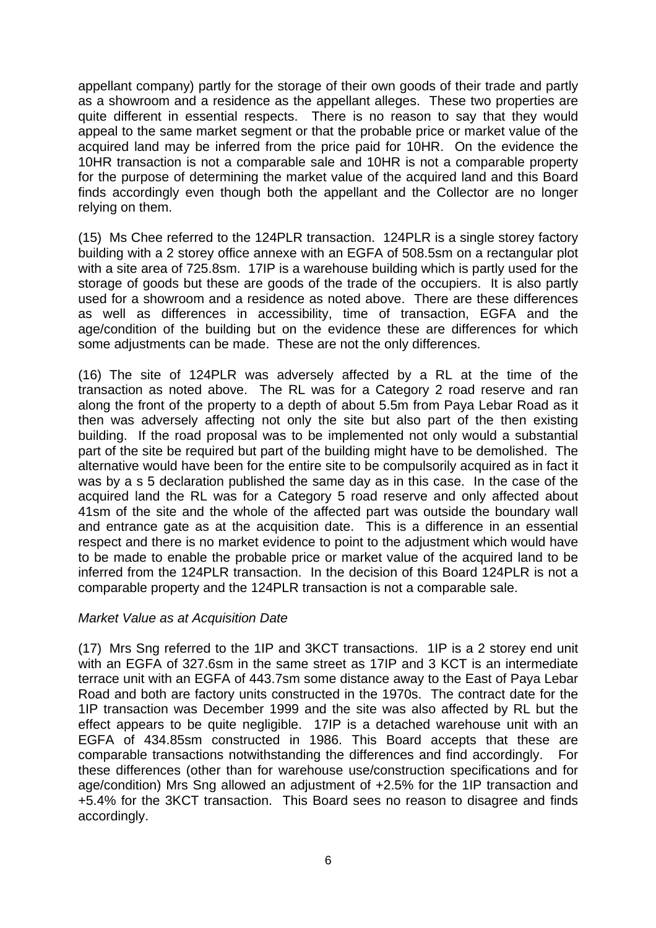appellant company) partly for the storage of their own goods of their trade and partly as a showroom and a residence as the appellant alleges. These two properties are quite different in essential respects. There is no reason to say that they would appeal to the same market segment or that the probable price or market value of the acquired land may be inferred from the price paid for 10HR. On the evidence the 10HR transaction is not a comparable sale and 10HR is not a comparable property for the purpose of determining the market value of the acquired land and this Board finds accordingly even though both the appellant and the Collector are no longer relying on them.

(15) Ms Chee referred to the 124PLR transaction. 124PLR is a single storey factory building with a 2 storey office annexe with an EGFA of 508.5sm on a rectangular plot with a site area of 725.8sm. 17IP is a warehouse building which is partly used for the storage of goods but these are goods of the trade of the occupiers. It is also partly used for a showroom and a residence as noted above. There are these differences as well as differences in accessibility, time of transaction, EGFA and the age/condition of the building but on the evidence these are differences for which some adjustments can be made. These are not the only differences.

(16) The site of 124PLR was adversely affected by a RL at the time of the transaction as noted above. The RL was for a Category 2 road reserve and ran along the front of the property to a depth of about 5.5m from Paya Lebar Road as it then was adversely affecting not only the site but also part of the then existing building. If the road proposal was to be implemented not only would a substantial part of the site be required but part of the building might have to be demolished. The alternative would have been for the entire site to be compulsorily acquired as in fact it was by a s 5 declaration published the same day as in this case. In the case of the acquired land the RL was for a Category 5 road reserve and only affected about 41sm of the site and the whole of the affected part was outside the boundary wall and entrance gate as at the acquisition date. This is a difference in an essential respect and there is no market evidence to point to the adjustment which would have to be made to enable the probable price or market value of the acquired land to be inferred from the 124PLR transaction. In the decision of this Board 124PLR is not a comparable property and the 124PLR transaction is not a comparable sale.

# *Market Value as at Acquisition Date*

(17) Mrs Sng referred to the 1IP and 3KCT transactions. 1IP is a 2 storey end unit with an EGFA of 327.6sm in the same street as 17IP and 3 KCT is an intermediate terrace unit with an EGFA of 443.7sm some distance away to the East of Paya Lebar Road and both are factory units constructed in the 1970s. The contract date for the 1IP transaction was December 1999 and the site was also affected by RL but the effect appears to be quite negligible. 17IP is a detached warehouse unit with an EGFA of 434.85sm constructed in 1986. This Board accepts that these are comparable transactions notwithstanding the differences and find accordingly. For these differences (other than for warehouse use/construction specifications and for age/condition) Mrs Sng allowed an adjustment of +2.5% for the 1IP transaction and +5.4% for the 3KCT transaction. This Board sees no reason to disagree and finds accordingly.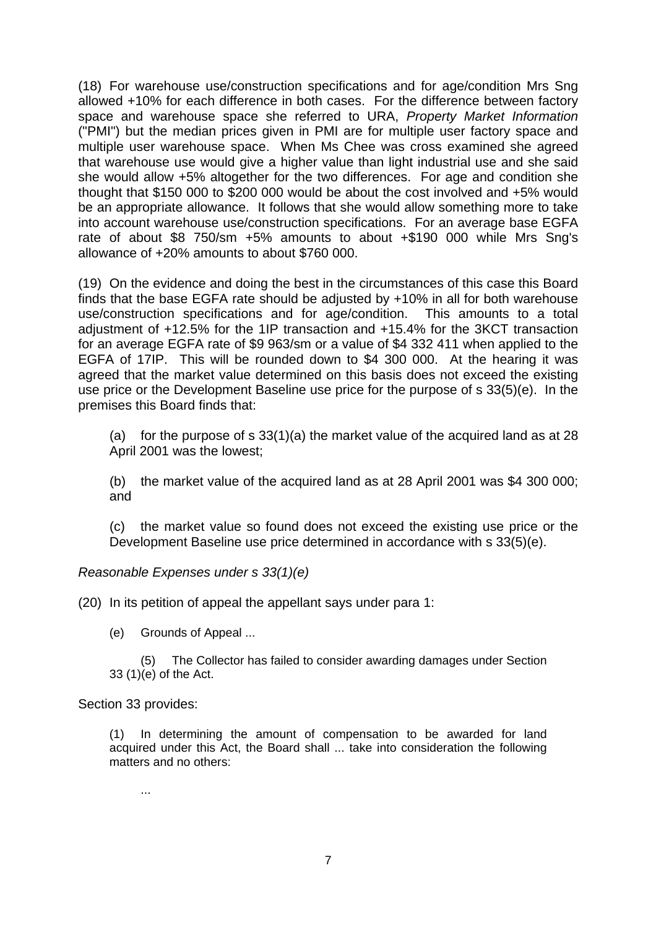(18) For warehouse use/construction specifications and for age/condition Mrs Sng allowed +10% for each difference in both cases. For the difference between factory space and warehouse space she referred to URA, *Property Market Information* ("PMI") but the median prices given in PMI are for multiple user factory space and multiple user warehouse space. When Ms Chee was cross examined she agreed that warehouse use would give a higher value than light industrial use and she said she would allow +5% altogether for the two differences. For age and condition she thought that \$150 000 to \$200 000 would be about the cost involved and +5% would be an appropriate allowance. It follows that she would allow something more to take into account warehouse use/construction specifications. For an average base EGFA rate of about \$8 750/sm +5% amounts to about +\$190 000 while Mrs Sng's allowance of +20% amounts to about \$760 000.

(19) On the evidence and doing the best in the circumstances of this case this Board finds that the base EGFA rate should be adjusted by +10% in all for both warehouse use/construction specifications and for age/condition. This amounts to a total adjustment of +12.5% for the 1IP transaction and +15.4% for the 3KCT transaction for an average EGFA rate of \$9 963/sm or a value of \$4 332 411 when applied to the EGFA of 17IP. This will be rounded down to \$4 300 000. At the hearing it was agreed that the market value determined on this basis does not exceed the existing use price or the Development Baseline use price for the purpose of s 33(5)(e). In the premises this Board finds that:

(a) for the purpose of s  $33(1)(a)$  the market value of the acquired land as at 28 April 2001 was the lowest;

(b) the market value of the acquired land as at 28 April 2001 was \$4 300 000; and

(c) the market value so found does not exceed the existing use price or the Development Baseline use price determined in accordance with s 33(5)(e).

*Reasonable Expenses under s 33(1)(e)*

(20) In its petition of appeal the appellant says under para 1:

(e) Grounds of Appeal ...

 (5) The Collector has failed to consider awarding damages under Section 33 (1)(e) of the Act.

Section 33 provides:

(1) In determining the amount of compensation to be awarded for land acquired under this Act, the Board shall ... take into consideration the following matters and no others:

...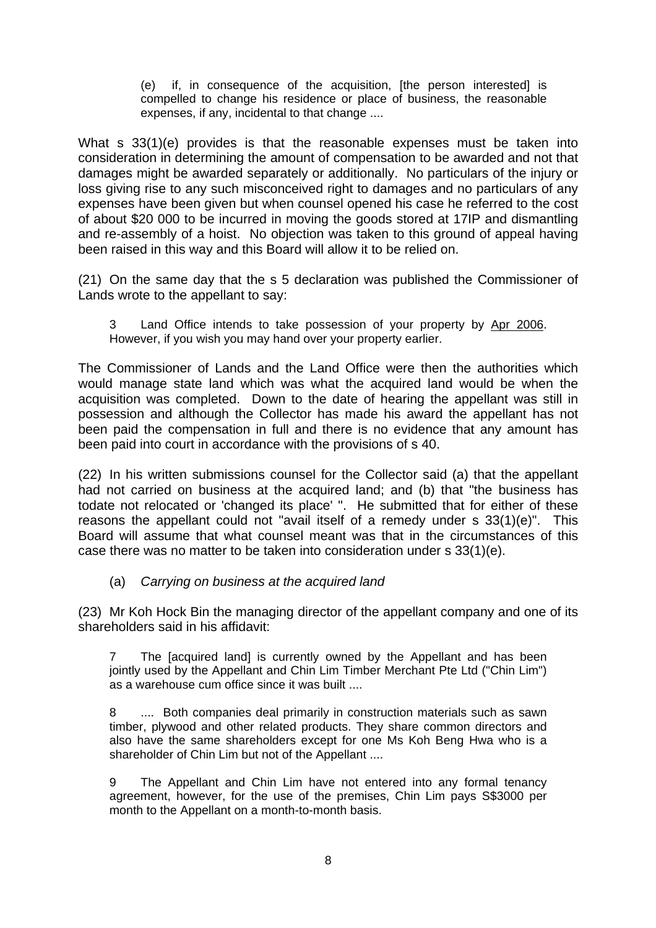(e) if, in consequence of the acquisition, [the person interested] is compelled to change his residence or place of business, the reasonable expenses, if any, incidental to that change ....

What s 33(1)(e) provides is that the reasonable expenses must be taken into consideration in determining the amount of compensation to be awarded and not that damages might be awarded separately or additionally. No particulars of the injury or loss giving rise to any such misconceived right to damages and no particulars of any expenses have been given but when counsel opened his case he referred to the cost of about \$20 000 to be incurred in moving the goods stored at 17IP and dismantling and re-assembly of a hoist. No objection was taken to this ground of appeal having been raised in this way and this Board will allow it to be relied on.

(21) On the same day that the s 5 declaration was published the Commissioner of Lands wrote to the appellant to say:

3 Land Office intends to take possession of your property by Apr 2006. However, if you wish you may hand over your property earlier.

The Commissioner of Lands and the Land Office were then the authorities which would manage state land which was what the acquired land would be when the acquisition was completed. Down to the date of hearing the appellant was still in possession and although the Collector has made his award the appellant has not been paid the compensation in full and there is no evidence that any amount has been paid into court in accordance with the provisions of s 40.

(22) In his written submissions counsel for the Collector said (a) that the appellant had not carried on business at the acquired land; and (b) that "the business has todate not relocated or 'changed its place' ". He submitted that for either of these reasons the appellant could not "avail itself of a remedy under s 33(1)(e)". This Board will assume that what counsel meant was that in the circumstances of this case there was no matter to be taken into consideration under s 33(1)(e).

# (a) *Carrying on business at the acquired land*

(23) Mr Koh Hock Bin the managing director of the appellant company and one of its shareholders said in his affidavit:

7 The [acquired land] is currently owned by the Appellant and has been jointly used by the Appellant and Chin Lim Timber Merchant Pte Ltd ("Chin Lim") as a warehouse cum office since it was built ....

8 .... Both companies deal primarily in construction materials such as sawn timber, plywood and other related products. They share common directors and also have the same shareholders except for one Ms Koh Beng Hwa who is a shareholder of Chin Lim but not of the Appellant ....

9 The Appellant and Chin Lim have not entered into any formal tenancy agreement, however, for the use of the premises, Chin Lim pays S\$3000 per month to the Appellant on a month-to-month basis.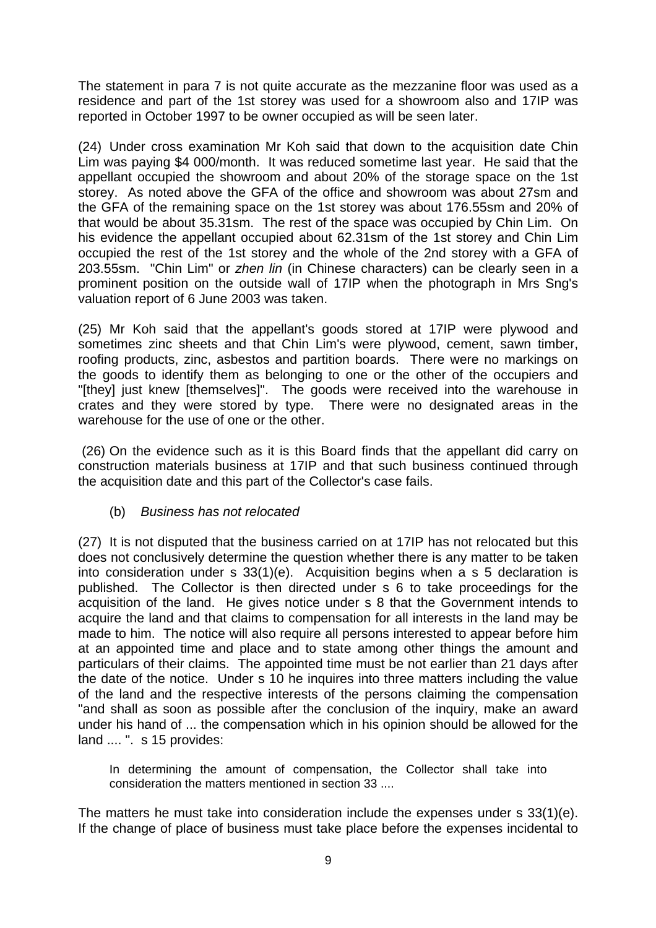The statement in para 7 is not quite accurate as the mezzanine floor was used as a residence and part of the 1st storey was used for a showroom also and 17IP was reported in October 1997 to be owner occupied as will be seen later.

(24) Under cross examination Mr Koh said that down to the acquisition date Chin Lim was paying \$4 000/month. It was reduced sometime last year. He said that the appellant occupied the showroom and about 20% of the storage space on the 1st storey. As noted above the GFA of the office and showroom was about 27sm and the GFA of the remaining space on the 1st storey was about 176.55sm and 20% of that would be about 35.31sm. The rest of the space was occupied by Chin Lim. On his evidence the appellant occupied about 62.31sm of the 1st storey and Chin Lim occupied the rest of the 1st storey and the whole of the 2nd storey with a GFA of 203.55sm. "Chin Lim" or *zhen lin* (in Chinese characters) can be clearly seen in a prominent position on the outside wall of 17IP when the photograph in Mrs Sng's valuation report of 6 June 2003 was taken.

(25) Mr Koh said that the appellant's goods stored at 17IP were plywood and sometimes zinc sheets and that Chin Lim's were plywood, cement, sawn timber, roofing products, zinc, asbestos and partition boards. There were no markings on the goods to identify them as belonging to one or the other of the occupiers and "[they] just knew [themselves]". The goods were received into the warehouse in crates and they were stored by type. There were no designated areas in the warehouse for the use of one or the other.

 (26) On the evidence such as it is this Board finds that the appellant did carry on construction materials business at 17IP and that such business continued through the acquisition date and this part of the Collector's case fails.

(b) *Business has not relocated* 

(27) It is not disputed that the business carried on at 17IP has not relocated but this does not conclusively determine the question whether there is any matter to be taken into consideration under s 33(1)(e). Acquisition begins when a s 5 declaration is published. The Collector is then directed under s 6 to take proceedings for the acquisition of the land. He gives notice under s 8 that the Government intends to acquire the land and that claims to compensation for all interests in the land may be made to him. The notice will also require all persons interested to appear before him at an appointed time and place and to state among other things the amount and particulars of their claims. The appointed time must be not earlier than 21 days after the date of the notice. Under s 10 he inquires into three matters including the value of the land and the respective interests of the persons claiming the compensation "and shall as soon as possible after the conclusion of the inquiry, make an award under his hand of ... the compensation which in his opinion should be allowed for the land .... ". s 15 provides:

In determining the amount of compensation, the Collector shall take into consideration the matters mentioned in section 33 ....

The matters he must take into consideration include the expenses under s 33(1)(e). If the change of place of business must take place before the expenses incidental to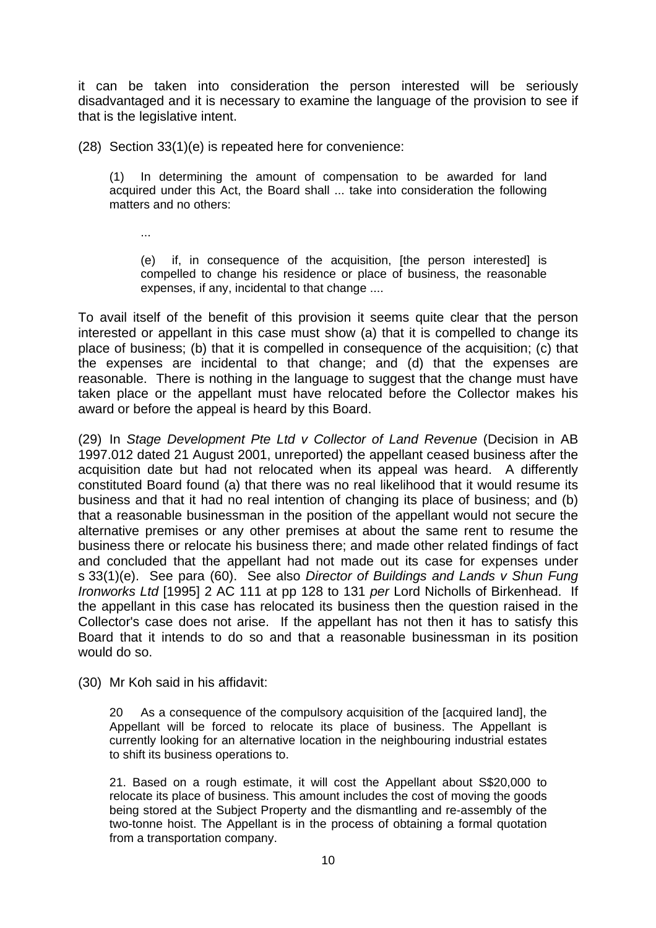it can be taken into consideration the person interested will be seriously disadvantaged and it is necessary to examine the language of the provision to see if that is the legislative intent.

(28) Section 33(1)(e) is repeated here for convenience:

(1) In determining the amount of compensation to be awarded for land acquired under this Act, the Board shall ... take into consideration the following matters and no others:

...

(e) if, in consequence of the acquisition, [the person interested] is compelled to change his residence or place of business, the reasonable expenses, if any, incidental to that change ....

To avail itself of the benefit of this provision it seems quite clear that the person interested or appellant in this case must show (a) that it is compelled to change its place of business; (b) that it is compelled in consequence of the acquisition; (c) that the expenses are incidental to that change; and (d) that the expenses are reasonable. There is nothing in the language to suggest that the change must have taken place or the appellant must have relocated before the Collector makes his award or before the appeal is heard by this Board.

(29) In *Stage Development Pte Ltd v Collector of Land Revenue* (Decision in AB 1997.012 dated 21 August 2001, unreported) the appellant ceased business after the acquisition date but had not relocated when its appeal was heard. A differently constituted Board found (a) that there was no real likelihood that it would resume its business and that it had no real intention of changing its place of business; and (b) that a reasonable businessman in the position of the appellant would not secure the alternative premises or any other premises at about the same rent to resume the business there or relocate his business there; and made other related findings of fact and concluded that the appellant had not made out its case for expenses under s 33(1)(e). See para (60). See also *Director of Buildings and Lands v Shun Fung Ironworks Ltd* [1995] 2 AC 111 at pp 128 to 131 *per* Lord Nicholls of Birkenhead. If the appellant in this case has relocated its business then the question raised in the Collector's case does not arise. If the appellant has not then it has to satisfy this Board that it intends to do so and that a reasonable businessman in its position would do so.

(30) Mr Koh said in his affidavit:

20 As a consequence of the compulsory acquisition of the [acquired land], the Appellant will be forced to relocate its place of business. The Appellant is currently looking for an alternative location in the neighbouring industrial estates to shift its business operations to.

21. Based on a rough estimate, it will cost the Appellant about S\$20,000 to relocate its place of business. This amount includes the cost of moving the goods being stored at the Subject Property and the dismantling and re-assembly of the two-tonne hoist. The Appellant is in the process of obtaining a formal quotation from a transportation company.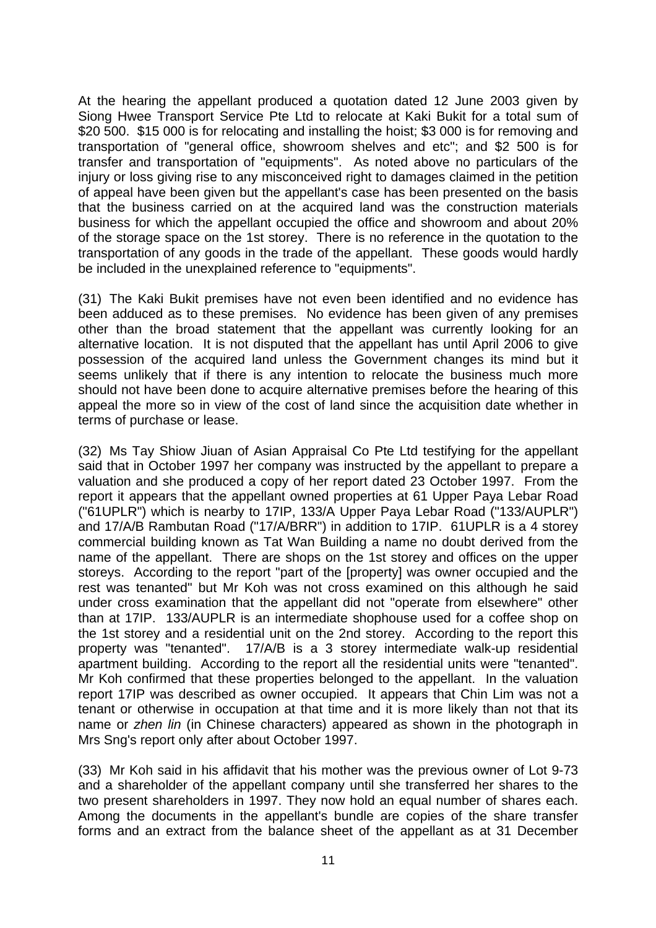At the hearing the appellant produced a quotation dated 12 June 2003 given by Siong Hwee Transport Service Pte Ltd to relocate at Kaki Bukit for a total sum of \$20 500. \$15 000 is for relocating and installing the hoist; \$3 000 is for removing and transportation of "general office, showroom shelves and etc"; and \$2 500 is for transfer and transportation of "equipments". As noted above no particulars of the injury or loss giving rise to any misconceived right to damages claimed in the petition of appeal have been given but the appellant's case has been presented on the basis that the business carried on at the acquired land was the construction materials business for which the appellant occupied the office and showroom and about 20% of the storage space on the 1st storey. There is no reference in the quotation to the transportation of any goods in the trade of the appellant. These goods would hardly be included in the unexplained reference to "equipments".

(31) The Kaki Bukit premises have not even been identified and no evidence has been adduced as to these premises. No evidence has been given of any premises other than the broad statement that the appellant was currently looking for an alternative location. It is not disputed that the appellant has until April 2006 to give possession of the acquired land unless the Government changes its mind but it seems unlikely that if there is any intention to relocate the business much more should not have been done to acquire alternative premises before the hearing of this appeal the more so in view of the cost of land since the acquisition date whether in terms of purchase or lease.

(32) Ms Tay Shiow Jiuan of Asian Appraisal Co Pte Ltd testifying for the appellant said that in October 1997 her company was instructed by the appellant to prepare a valuation and she produced a copy of her report dated 23 October 1997. From the report it appears that the appellant owned properties at 61 Upper Paya Lebar Road ("61UPLR") which is nearby to 17IP, 133/A Upper Paya Lebar Road ("133/AUPLR") and 17/A/B Rambutan Road ("17/A/BRR") in addition to 17IP. 61UPLR is a 4 storey commercial building known as Tat Wan Building a name no doubt derived from the name of the appellant. There are shops on the 1st storey and offices on the upper storeys. According to the report "part of the [property] was owner occupied and the rest was tenanted" but Mr Koh was not cross examined on this although he said under cross examination that the appellant did not "operate from elsewhere" other than at 17IP. 133/AUPLR is an intermediate shophouse used for a coffee shop on the 1st storey and a residential unit on the 2nd storey. According to the report this property was "tenanted". 17/A/B is a 3 storey intermediate walk-up residential apartment building. According to the report all the residential units were "tenanted". Mr Koh confirmed that these properties belonged to the appellant. In the valuation report 17IP was described as owner occupied. It appears that Chin Lim was not a tenant or otherwise in occupation at that time and it is more likely than not that its name or *zhen lin* (in Chinese characters) appeared as shown in the photograph in Mrs Sng's report only after about October 1997.

(33) Mr Koh said in his affidavit that his mother was the previous owner of Lot 9-73 and a shareholder of the appellant company until she transferred her shares to the two present shareholders in 1997. They now hold an equal number of shares each. Among the documents in the appellant's bundle are copies of the share transfer forms and an extract from the balance sheet of the appellant as at 31 December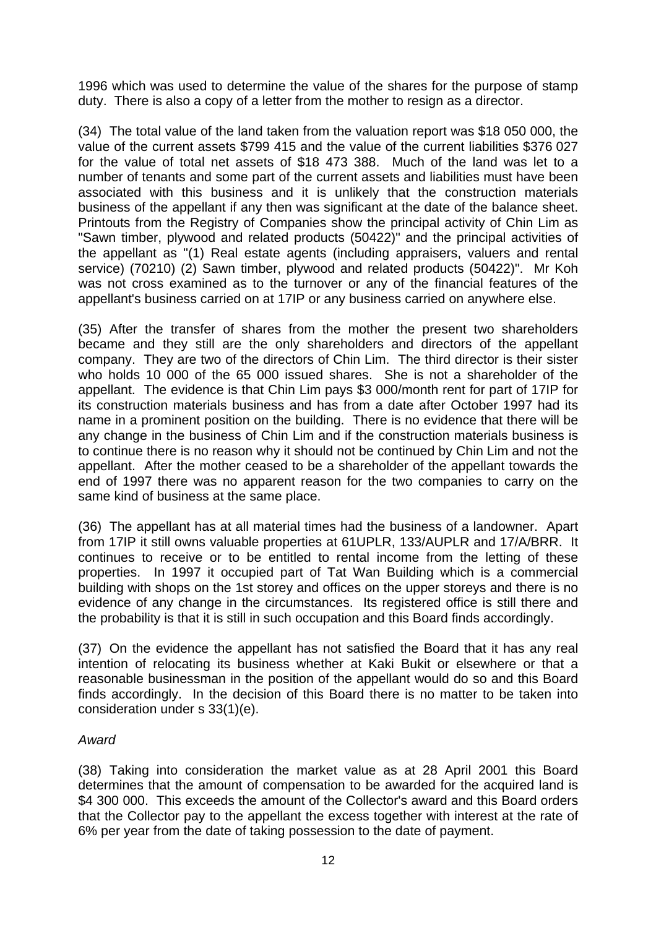1996 which was used to determine the value of the shares for the purpose of stamp duty. There is also a copy of a letter from the mother to resign as a director.

(34) The total value of the land taken from the valuation report was \$18 050 000, the value of the current assets \$799 415 and the value of the current liabilities \$376 027 for the value of total net assets of \$18 473 388. Much of the land was let to a number of tenants and some part of the current assets and liabilities must have been associated with this business and it is unlikely that the construction materials business of the appellant if any then was significant at the date of the balance sheet. Printouts from the Registry of Companies show the principal activity of Chin Lim as "Sawn timber, plywood and related products (50422)" and the principal activities of the appellant as "(1) Real estate agents (including appraisers, valuers and rental service) (70210) (2) Sawn timber, plywood and related products (50422)". Mr Koh was not cross examined as to the turnover or any of the financial features of the appellant's business carried on at 17IP or any business carried on anywhere else.

(35) After the transfer of shares from the mother the present two shareholders became and they still are the only shareholders and directors of the appellant company. They are two of the directors of Chin Lim. The third director is their sister who holds 10 000 of the 65 000 issued shares. She is not a shareholder of the appellant. The evidence is that Chin Lim pays \$3 000/month rent for part of 17IP for its construction materials business and has from a date after October 1997 had its name in a prominent position on the building. There is no evidence that there will be any change in the business of Chin Lim and if the construction materials business is to continue there is no reason why it should not be continued by Chin Lim and not the appellant. After the mother ceased to be a shareholder of the appellant towards the end of 1997 there was no apparent reason for the two companies to carry on the same kind of business at the same place.

(36) The appellant has at all material times had the business of a landowner. Apart from 17IP it still owns valuable properties at 61UPLR, 133/AUPLR and 17/A/BRR. It continues to receive or to be entitled to rental income from the letting of these properties. In 1997 it occupied part of Tat Wan Building which is a commercial building with shops on the 1st storey and offices on the upper storeys and there is no evidence of any change in the circumstances. Its registered office is still there and the probability is that it is still in such occupation and this Board finds accordingly.

(37) On the evidence the appellant has not satisfied the Board that it has any real intention of relocating its business whether at Kaki Bukit or elsewhere or that a reasonable businessman in the position of the appellant would do so and this Board finds accordingly. In the decision of this Board there is no matter to be taken into consideration under s 33(1)(e).

# *Award*

(38) Taking into consideration the market value as at 28 April 2001 this Board determines that the amount of compensation to be awarded for the acquired land is \$4 300 000. This exceeds the amount of the Collector's award and this Board orders that the Collector pay to the appellant the excess together with interest at the rate of 6% per year from the date of taking possession to the date of payment.